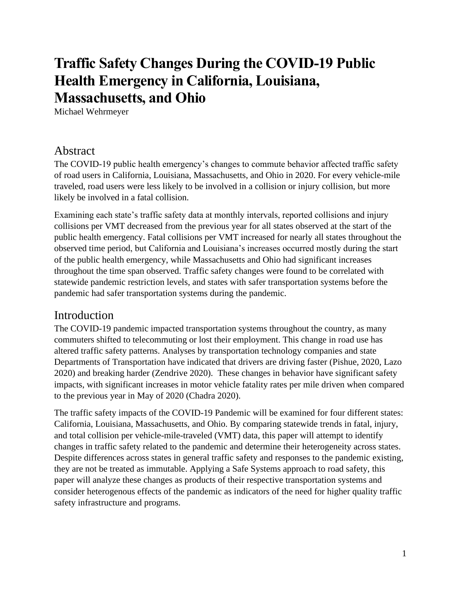# **Traffic Safety Changes During the COVID-19 Public Health Emergency in California, Louisiana, Massachusetts, and Ohio**

Michael Wehrmeyer

### Abstract

The COVID-19 public health emergency's changes to commute behavior affected traffic safety of road users in California, Louisiana, Massachusetts, and Ohio in 2020. For every vehicle-mile traveled, road users were less likely to be involved in a collision or injury collision, but more likely be involved in a fatal collision.

Examining each state's traffic safety data at monthly intervals, reported collisions and injury collisions per VMT decreased from the previous year for all states observed at the start of the public health emergency. Fatal collisions per VMT increased for nearly all states throughout the observed time period, but California and Louisiana's increases occurred mostly during the start of the public health emergency, while Massachusetts and Ohio had significant increases throughout the time span observed. Traffic safety changes were found to be correlated with statewide pandemic restriction levels, and states with safer transportation systems before the pandemic had safer transportation systems during the pandemic.

### Introduction

The COVID-19 pandemic impacted transportation systems throughout the country, as many commuters shifted to telecommuting or lost their employment. This change in road use has altered traffic safety patterns. Analyses by transportation technology companies and state Departments of Transportation have indicated that drivers are driving faster (Pishue, 2020, Lazo 2020) and breaking harder (Zendrive 2020). These changes in behavior have significant safety impacts, with significant increases in motor vehicle fatality rates per mile driven when compared to the previous year in May of 2020 (Chadra 2020).

The traffic safety impacts of the COVID-19 Pandemic will be examined for four different states: California, Louisiana, Massachusetts, and Ohio. By comparing statewide trends in fatal, injury, and total collision per vehicle-mile-traveled (VMT) data, this paper will attempt to identify changes in traffic safety related to the pandemic and determine their heterogeneity across states. Despite differences across states in general traffic safety and responses to the pandemic existing, they are not be treated as immutable. Applying a Safe Systems approach to road safety, this paper will analyze these changes as products of their respective transportation systems and consider heterogenous effects of the pandemic as indicators of the need for higher quality traffic safety infrastructure and programs.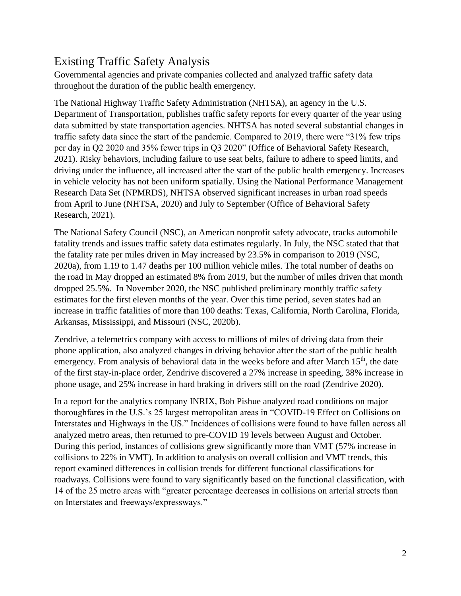## Existing Traffic Safety Analysis

Governmental agencies and private companies collected and analyzed traffic safety data throughout the duration of the public health emergency.

The National Highway Traffic Safety Administration (NHTSA), an agency in the U.S. Department of Transportation, publishes traffic safety reports for every quarter of the year using data submitted by state transportation agencies. NHTSA has noted several substantial changes in traffic safety data since the start of the pandemic. Compared to 2019, there were "31% few trips per day in Q2 2020 and 35% fewer trips in Q3 2020" (Office of Behavioral Safety Research, 2021). Risky behaviors, including failure to use seat belts, failure to adhere to speed limits, and driving under the influence, all increased after the start of the public health emergency. Increases in vehicle velocity has not been uniform spatially. Using the National Performance Management Research Data Set (NPMRDS), NHTSA observed significant increases in urban road speeds from April to June (NHTSA, 2020) and July to September (Office of Behavioral Safety Research, 2021).

The National Safety Council (NSC), an American nonprofit safety advocate, tracks automobile fatality trends and issues traffic safety data estimates regularly. In July, the NSC stated that that the fatality rate per miles driven in May increased by 23.5% in comparison to 2019 (NSC, 2020a), from 1.19 to 1.47 deaths per 100 million vehicle miles. The total number of deaths on the road in May dropped an estimated 8% from 2019, but the number of miles driven that month dropped 25.5%. In November 2020, the NSC published preliminary monthly traffic safety estimates for the first eleven months of the year. Over this time period, seven states had an increase in traffic fatalities of more than 100 deaths: Texas, California, North Carolina, Florida, Arkansas, Mississippi, and Missouri (NSC, 2020b).

Zendrive, a telemetrics company with access to millions of miles of driving data from their phone application, also analyzed changes in driving behavior after the start of the public health emergency. From analysis of behavioral data in the weeks before and after March 15<sup>th</sup>, the date of the first stay-in-place order, Zendrive discovered a 27% increase in speeding, 38% increase in phone usage, and 25% increase in hard braking in drivers still on the road (Zendrive 2020).

In a report for the analytics company INRIX, Bob Pishue analyzed road conditions on major thoroughfares in the U.S.'s 25 largest metropolitan areas in "COVID-19 Effect on Collisions on Interstates and Highways in the US." Incidences of collisions were found to have fallen across all analyzed metro areas, then returned to pre-COVID 19 levels between August and October. During this period, instances of collisions grew significantly more than VMT (57% increase in collisions to 22% in VMT). In addition to analysis on overall collision and VMT trends, this report examined differences in collision trends for different functional classifications for roadways. Collisions were found to vary significantly based on the functional classification, with 14 of the 25 metro areas with "greater percentage decreases in collisions on arterial streets than on Interstates and freeways/expressways."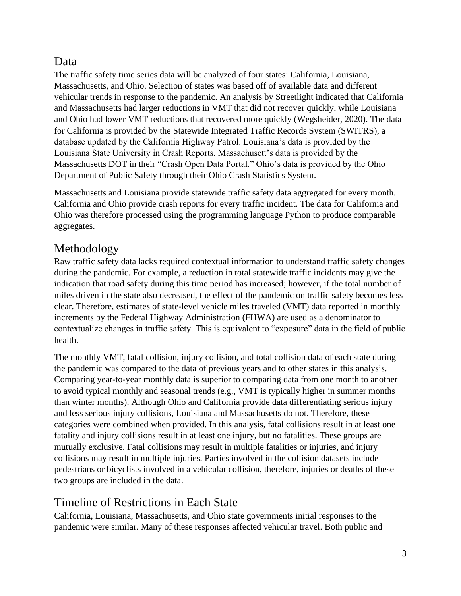### Data

The traffic safety time series data will be analyzed of four states: California, Louisiana, Massachusetts, and Ohio. Selection of states was based off of available data and different vehicular trends in response to the pandemic. An analysis by Streetlight indicated that California and Massachusetts had larger reductions in VMT that did not recover quickly, while Louisiana and Ohio had lower VMT reductions that recovered more quickly (Wegsheider, 2020). The data for California is provided by the Statewide Integrated Traffic Records System (SWITRS), a database updated by the California Highway Patrol. Louisiana's data is provided by the Louisiana State University in Crash Reports. Massachusett's data is provided by the Massachusetts DOT in their "Crash Open Data Portal." Ohio's data is provided by the Ohio Department of Public Safety through their Ohio Crash Statistics System.

Massachusetts and Louisiana provide statewide traffic safety data aggregated for every month. California and Ohio provide crash reports for every traffic incident. The data for California and Ohio was therefore processed using the programming language Python to produce comparable aggregates.

### Methodology

Raw traffic safety data lacks required contextual information to understand traffic safety changes during the pandemic. For example, a reduction in total statewide traffic incidents may give the indication that road safety during this time period has increased; however, if the total number of miles driven in the state also decreased, the effect of the pandemic on traffic safety becomes less clear. Therefore, estimates of state-level vehicle miles traveled (VMT) data reported in monthly increments by the Federal Highway Administration (FHWA) are used as a denominator to contextualize changes in traffic safety. This is equivalent to "exposure" data in the field of public health.

The monthly VMT, fatal collision, injury collision, and total collision data of each state during the pandemic was compared to the data of previous years and to other states in this analysis. Comparing year-to-year monthly data is superior to comparing data from one month to another to avoid typical monthly and seasonal trends (e.g., VMT is typically higher in summer months than winter months). Although Ohio and California provide data differentiating serious injury and less serious injury collisions, Louisiana and Massachusetts do not. Therefore, these categories were combined when provided. In this analysis, fatal collisions result in at least one fatality and injury collisions result in at least one injury, but no fatalities. These groups are mutually exclusive. Fatal collisions may result in multiple fatalities or injuries, and injury collisions may result in multiple injuries. Parties involved in the collision datasets include pedestrians or bicyclists involved in a vehicular collision, therefore, injuries or deaths of these two groups are included in the data.

## Timeline of Restrictions in Each State

California, Louisiana, Massachusetts, and Ohio state governments initial responses to the pandemic were similar. Many of these responses affected vehicular travel. Both public and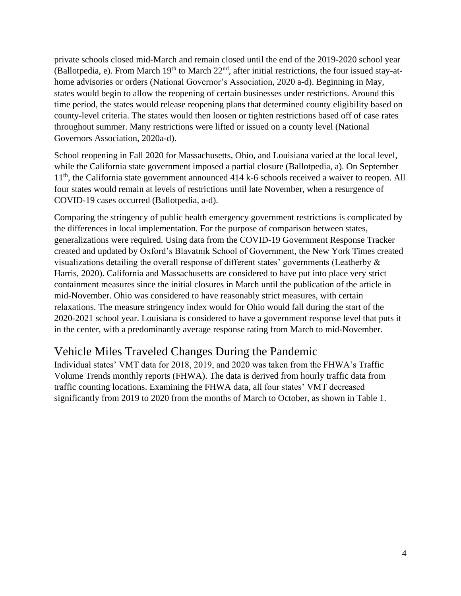private schools closed mid-March and remain closed until the end of the 2019-2020 school year (Ballotpedia, e). From March  $19<sup>th</sup>$  to March  $22<sup>nd</sup>$ , after initial restrictions, the four issued stay-athome advisories or orders (National Governor's Association, 2020 a-d). Beginning in May, states would begin to allow the reopening of certain businesses under restrictions. Around this time period, the states would release reopening plans that determined county eligibility based on county-level criteria. The states would then loosen or tighten restrictions based off of case rates throughout summer. Many restrictions were lifted or issued on a county level (National Governors Association, 2020a-d).

School reopening in Fall 2020 for Massachusetts, Ohio, and Louisiana varied at the local level, while the California state government imposed a partial closure (Ballotpedia, a). On September 11<sup>th</sup>, the California state government announced 414 k-6 schools received a waiver to reopen. All four states would remain at levels of restrictions until late November, when a resurgence of COVID-19 cases occurred (Ballotpedia, a-d).

Comparing the stringency of public health emergency government restrictions is complicated by the differences in local implementation. For the purpose of comparison between states, generalizations were required. Using data from the COVID-19 Government Response Tracker created and updated by Oxford's Blavatnik School of Government, the New York Times created visualizations detailing the overall response of different states' governments (Leatherby & Harris, 2020). California and Massachusetts are considered to have put into place very strict containment measures since the initial closures in March until the publication of the article in mid-November. Ohio was considered to have reasonably strict measures, with certain relaxations. The measure stringency index would for Ohio would fall during the start of the 2020-2021 school year. Louisiana is considered to have a government response level that puts it in the center, with a predominantly average response rating from March to mid-November.

### Vehicle Miles Traveled Changes During the Pandemic

Individual states' VMT data for 2018, 2019, and 2020 was taken from the FHWA's Traffic Volume Trends monthly reports (FHWA). The data is derived from hourly traffic data from traffic counting locations. Examining the FHWA data, all four states' VMT decreased significantly from 2019 to 2020 from the months of March to October, as shown in Table 1.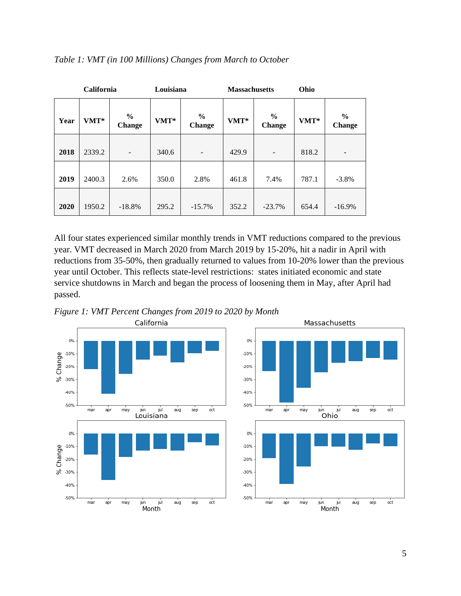| <b>California</b> |        |                                | Louisiana |                                | <b>Massachusetts</b> |                                | Ohio    |                                |  |
|-------------------|--------|--------------------------------|-----------|--------------------------------|----------------------|--------------------------------|---------|--------------------------------|--|
| Year              | VMT*   | $\frac{6}{6}$<br><b>Change</b> | $VMT^*$   | $\frac{6}{9}$<br><b>Change</b> | VMT*                 | $\frac{6}{6}$<br><b>Change</b> | $VMT^*$ | $\frac{6}{6}$<br><b>Change</b> |  |
| 2018              | 2339.2 | -                              | 340.6     | $\blacksquare$                 | 429.9                | $\overline{\phantom{0}}$       | 818.2   | ۰                              |  |
| 2019              | 2400.3 | 2.6%                           | 350.0     | 2.8%                           | 461.8                | 7.4%                           | 787.1   | $-3.8%$                        |  |
| 2020              | 1950.2 | $-18.8%$                       | 295.2     | $-15.7%$                       | 352.2                | $-23.7%$                       | 654.4   | $-16.9%$                       |  |

#### *Table 1: VMT (in 100 Millions) Changes from March to October*

All four states experienced similar monthly trends in VMT reductions compared to the previous year. VMT decreased in March 2020 from March 2019 by 15-20%, hit a nadir in April with reductions from 35-50%, then gradually returned to values from 10-20% lower than the previous year until October. This reflects state-level restrictions: states initiated economic and state service shutdowns in March and began the process of loosening them in May, after April had passed.





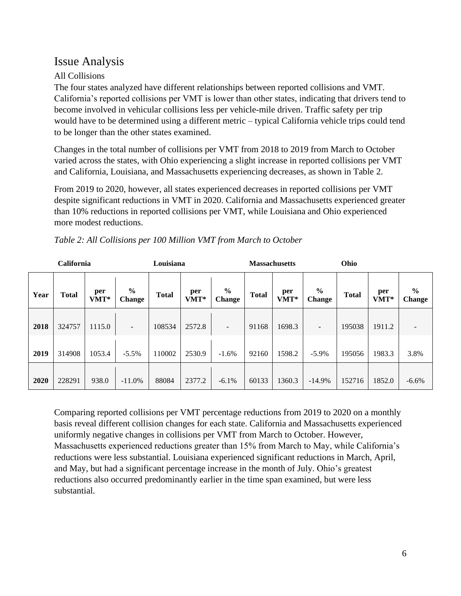### Issue Analysis

### All Collisions

The four states analyzed have different relationships between reported collisions and VMT. California's reported collisions per VMT is lower than other states, indicating that drivers tend to become involved in vehicular collisions less per vehicle-mile driven. Traffic safety per trip would have to be determined using a different metric – typical California vehicle trips could tend to be longer than the other states examined.

Changes in the total number of collisions per VMT from 2018 to 2019 from March to October varied across the states, with Ohio experiencing a slight increase in reported collisions per VMT and California, Louisiana, and Massachusetts experiencing decreases, as shown in Table 2.

From 2019 to 2020, however, all states experienced decreases in reported collisions per VMT despite significant reductions in VMT in 2020. California and Massachusetts experienced greater than 10% reductions in reported collisions per VMT, while Louisiana and Ohio experienced more modest reductions.

|      | <b>California</b> |             |                          | Louisiana    |             |                          |              | <b>Massachusetts</b> |                         | Ohio         |             |                         |
|------|-------------------|-------------|--------------------------|--------------|-------------|--------------------------|--------------|----------------------|-------------------------|--------------|-------------|-------------------------|
| Year | <b>Total</b>      | per<br>VMT* | $\frac{0}{0}$<br>Change  | <b>Total</b> | per<br>VMT* | $\frac{6}{6}$<br>Change  | <b>Total</b> | per<br>VMT*          | $\frac{6}{6}$<br>Change | <b>Total</b> | per<br>VMT* | $\frac{0}{0}$<br>Change |
| 2018 | 324757            | 1115.0      | $\overline{\phantom{a}}$ | 108534       | 2572.8      | $\overline{\phantom{0}}$ | 91168        | 1698.3               |                         | 195038       | 1911.2      |                         |
| 2019 | 314908            | 1053.4      | $-5.5%$                  | 110002       | 2530.9      | $-1.6%$                  | 92160        | 1598.2               | $-5.9\%$                | 195056       | 1983.3      | 3.8%                    |
| 2020 | 228291            | 938.0       | $-11.0\%$                | 88084        | 2377.2      | $-6.1\%$                 | 60133        | 1360.3               | $-14.9%$                | 152716       | 1852.0      | $-6.6%$                 |

*Table 2: All Collisions per 100 Million VMT from March to October*

Comparing reported collisions per VMT percentage reductions from 2019 to 2020 on a monthly basis reveal different collision changes for each state. California and Massachusetts experienced uniformly negative changes in collisions per VMT from March to October. However, Massachusetts experienced reductions greater than 15% from March to May, while California's reductions were less substantial. Louisiana experienced significant reductions in March, April, and May, but had a significant percentage increase in the month of July. Ohio's greatest reductions also occurred predominantly earlier in the time span examined, but were less substantial.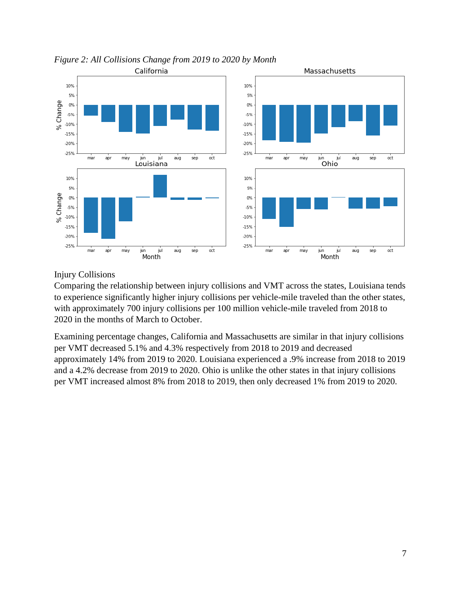

*Figure 2: All Collisions Change from 2019 to 2020 by Month*

Injury Collisions

Comparing the relationship between injury collisions and VMT across the states, Louisiana tends to experience significantly higher injury collisions per vehicle-mile traveled than the other states, with approximately 700 injury collisions per 100 million vehicle-mile traveled from 2018 to 2020 in the months of March to October.

Examining percentage changes, California and Massachusetts are similar in that injury collisions per VMT decreased 5.1% and 4.3% respectively from 2018 to 2019 and decreased approximately 14% from 2019 to 2020. Louisiana experienced a .9% increase from 2018 to 2019 and a 4.2% decrease from 2019 to 2020. Ohio is unlike the other states in that injury collisions per VMT increased almost 8% from 2018 to 2019, then only decreased 1% from 2019 to 2020.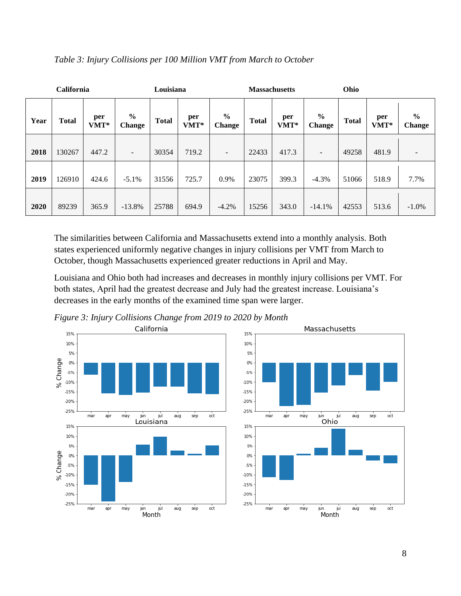|      | California   |             |                                | Louisiana    |             |                                |              | <b>Massachusetts</b> |                                | Ohio         |             |                          |
|------|--------------|-------------|--------------------------------|--------------|-------------|--------------------------------|--------------|----------------------|--------------------------------|--------------|-------------|--------------------------|
| Year | <b>Total</b> | per<br>VMT* | $\frac{0}{0}$<br><b>Change</b> | <b>Total</b> | per<br>VMT* | $\frac{0}{0}$<br><b>Change</b> | <b>Total</b> | per<br>VMT*          | $\frac{6}{6}$<br><b>Change</b> | <b>Total</b> | per<br>VMT* | $\frac{6}{6}$<br>Change  |
| 2018 | 130267       | 447.2       | $\overline{\phantom{a}}$       | 30354        | 719.2       | $\overline{\phantom{a}}$       | 22433        | 417.3                |                                | 49258        | 481.9       | $\overline{\phantom{0}}$ |
| 2019 | 126910       | 424.6       | $-5.1\%$                       | 31556        | 725.7       | 0.9%                           | 23075        | 399.3                | $-4.3\%$                       | 51066        | 518.9       | 7.7%                     |
| 2020 | 89239        | 365.9       | $-13.8%$                       | 25788        | 694.9       | $-4.2%$                        | 15256        | 343.0                | $-14.1%$                       | 42553        | 513.6       | $-1.0\%$                 |

#### *Table 3: Injury Collisions per 100 Million VMT from March to October*

The similarities between California and Massachusetts extend into a monthly analysis. Both states experienced uniformly negative changes in injury collisions per VMT from March to October, though Massachusetts experienced greater reductions in April and May.

Louisiana and Ohio both had increases and decreases in monthly injury collisions per VMT. For both states, April had the greatest decrease and July had the greatest increase. Louisiana's decreases in the early months of the examined time span were larger.



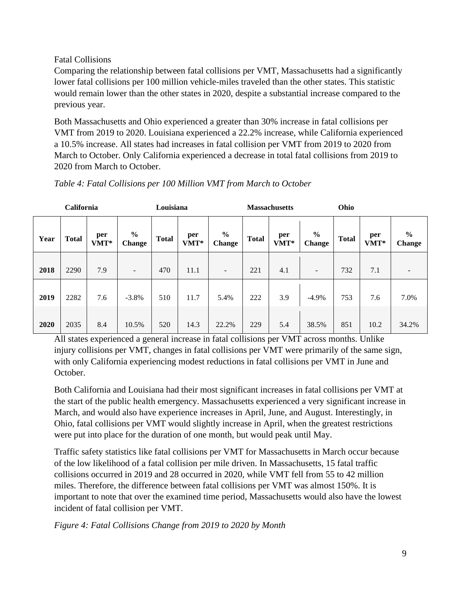#### Fatal Collisions

Comparing the relationship between fatal collisions per VMT, Massachusetts had a significantly lower fatal collisions per 100 million vehicle-miles traveled than the other states. This statistic would remain lower than the other states in 2020, despite a substantial increase compared to the previous year.

Both Massachusetts and Ohio experienced a greater than 30% increase in fatal collisions per VMT from 2019 to 2020. Louisiana experienced a 22.2% increase, while California experienced a 10.5% increase. All states had increases in fatal collision per VMT from 2019 to 2020 from March to October. Only California experienced a decrease in total fatal collisions from 2019 to 2020 from March to October.

|      | <b>California</b> |             |                          | Louisiana    |             |                                |              | <b>Massachusetts</b> |                          | Ohio         |             |                                |
|------|-------------------|-------------|--------------------------|--------------|-------------|--------------------------------|--------------|----------------------|--------------------------|--------------|-------------|--------------------------------|
| Year | <b>Total</b>      | per<br>VMT* | $\frac{6}{9}$<br>Change  | <b>Total</b> | per<br>VMT* | $\frac{6}{6}$<br><b>Change</b> | <b>Total</b> | per<br>VMT*          | $\frac{0}{0}$<br>Change  | <b>Total</b> | per<br>VMT* | $\frac{0}{0}$<br><b>Change</b> |
| 2018 | 2290              | 7.9         | $\overline{\phantom{a}}$ | 470          | 11.1        | $\overline{\phantom{a}}$       | 221          | 4.1                  | $\overline{\phantom{a}}$ | 732          | 7.1         |                                |
| 2019 | 2282              | 7.6         | $-3.8%$                  | 510          | 11.7        | 5.4%                           | 222          | 3.9                  | $-4.9%$                  | 753          | 7.6         | 7.0%                           |
| 2020 | 2035              | 8.4         | 10.5%                    | 520          | 14.3        | 22.2%                          | 229          | 5.4                  | 38.5%                    | 851          | 10.2        | 34.2%                          |

*Table 4: Fatal Collisions per 100 Million VMT from March to October*

All states experienced a general increase in fatal collisions per VMT across months. Unlike injury collisions per VMT, changes in fatal collisions per VMT were primarily of the same sign, with only California experiencing modest reductions in fatal collisions per VMT in June and October.

Both California and Louisiana had their most significant increases in fatal collisions per VMT at the start of the public health emergency. Massachusetts experienced a very significant increase in March, and would also have experience increases in April, June, and August. Interestingly, in Ohio, fatal collisions per VMT would slightly increase in April, when the greatest restrictions were put into place for the duration of one month, but would peak until May.

Traffic safety statistics like fatal collisions per VMT for Massachusetts in March occur because of the low likelihood of a fatal collision per mile driven. In Massachusetts, 15 fatal traffic collisions occurred in 2019 and 28 occurred in 2020, while VMT fell from 55 to 42 million miles. Therefore, the difference between fatal collisions per VMT was almost 150%. It is important to note that over the examined time period, Massachusetts would also have the lowest incident of fatal collision per VMT.

*Figure 4: Fatal Collisions Change from 2019 to 2020 by Month*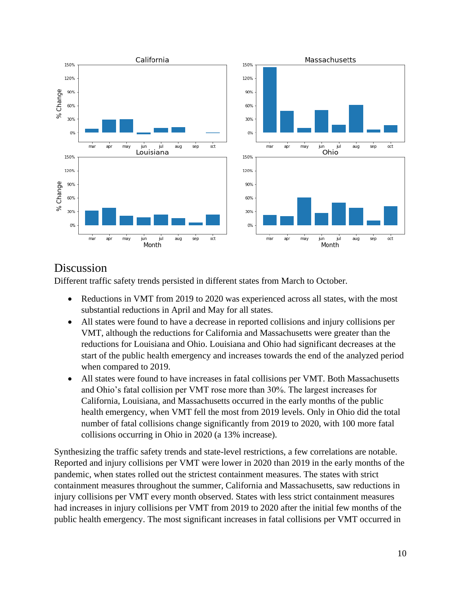

### Discussion

Different traffic safety trends persisted in different states from March to October.

- Reductions in VMT from 2019 to 2020 was experienced across all states, with the most substantial reductions in April and May for all states.
- All states were found to have a decrease in reported collisions and injury collisions per VMT, although the reductions for California and Massachusetts were greater than the reductions for Louisiana and Ohio. Louisiana and Ohio had significant decreases at the start of the public health emergency and increases towards the end of the analyzed period when compared to 2019.
- All states were found to have increases in fatal collisions per VMT. Both Massachusetts and Ohio's fatal collision per VMT rose more than 30%. The largest increases for California, Louisiana, and Massachusetts occurred in the early months of the public health emergency, when VMT fell the most from 2019 levels. Only in Ohio did the total number of fatal collisions change significantly from 2019 to 2020, with 100 more fatal collisions occurring in Ohio in 2020 (a 13% increase).

Synthesizing the traffic safety trends and state-level restrictions, a few correlations are notable. Reported and injury collisions per VMT were lower in 2020 than 2019 in the early months of the pandemic, when states rolled out the strictest containment measures. The states with strict containment measures throughout the summer, California and Massachusetts, saw reductions in injury collisions per VMT every month observed. States with less strict containment measures had increases in injury collisions per VMT from 2019 to 2020 after the initial few months of the public health emergency. The most significant increases in fatal collisions per VMT occurred in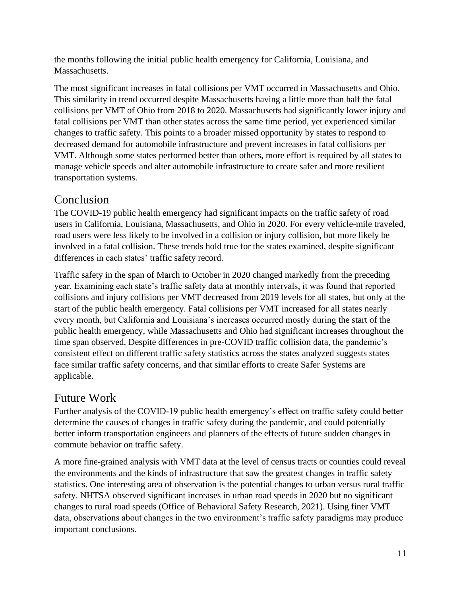the months following the initial public health emergency for California, Louisiana, and Massachusetts.

The most significant increases in fatal collisions per VMT occurred in Massachusetts and Ohio. This similarity in trend occurred despite Massachusetts having a little more than half the fatal collisions per VMT of Ohio from 2018 to 2020. Massachusetts had significantly lower injury and fatal collisions per VMT than other states across the same time period, yet experienced similar changes to traffic safety. This points to a broader missed opportunity by states to respond to decreased demand for automobile infrastructure and prevent increases in fatal collisions per VMT. Although some states performed better than others, more effort is required by all states to manage vehicle speeds and alter automobile infrastructure to create safer and more resilient transportation systems.

### Conclusion

The COVID-19 public health emergency had significant impacts on the traffic safety of road users in California, Louisiana, Massachusetts, and Ohio in 2020. For every vehicle-mile traveled, road users were less likely to be involved in a collision or injury collision, but more likely be involved in a fatal collision. These trends hold true for the states examined, despite significant differences in each states' traffic safety record.

Traffic safety in the span of March to October in 2020 changed markedly from the preceding year. Examining each state's traffic safety data at monthly intervals, it was found that reported collisions and injury collisions per VMT decreased from 2019 levels for all states, but only at the start of the public health emergency. Fatal collisions per VMT increased for all states nearly every month, but California and Louisiana's increases occurred mostly during the start of the public health emergency, while Massachusetts and Ohio had significant increases throughout the time span observed. Despite differences in pre-COVID traffic collision data, the pandemic's consistent effect on different traffic safety statistics across the states analyzed suggests states face similar traffic safety concerns, and that similar efforts to create Safer Systems are applicable.

### Future Work

Further analysis of the COVID-19 public health emergency's effect on traffic safety could better determine the causes of changes in traffic safety during the pandemic, and could potentially better inform transportation engineers and planners of the effects of future sudden changes in commute behavior on traffic safety.

A more fine-grained analysis with VMT data at the level of census tracts or counties could reveal the environments and the kinds of infrastructure that saw the greatest changes in traffic safety statistics. One interesting area of observation is the potential changes to urban versus rural traffic safety. NHTSA observed significant increases in urban road speeds in 2020 but no significant changes to rural road speeds (Office of Behavioral Safety Research, 2021). Using finer VMT data, observations about changes in the two environment's traffic safety paradigms may produce important conclusions.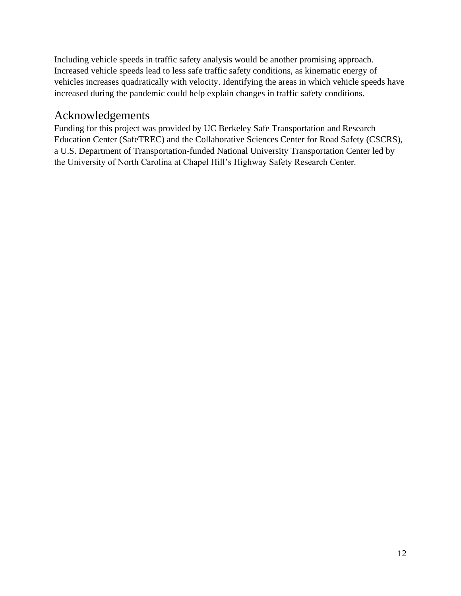Including vehicle speeds in traffic safety analysis would be another promising approach. Increased vehicle speeds lead to less safe traffic safety conditions, as kinematic energy of vehicles increases quadratically with velocity. Identifying the areas in which vehicle speeds have increased during the pandemic could help explain changes in traffic safety conditions.

### Acknowledgements

Funding for this project was provided by UC Berkeley Safe Transportation and Research Education Center (SafeTREC) and the Collaborative Sciences Center for Road Safety (CSCRS), a U.S. Department of Transportation-funded National University Transportation Center led by the University of North Carolina at Chapel Hill's Highway Safety Research Center.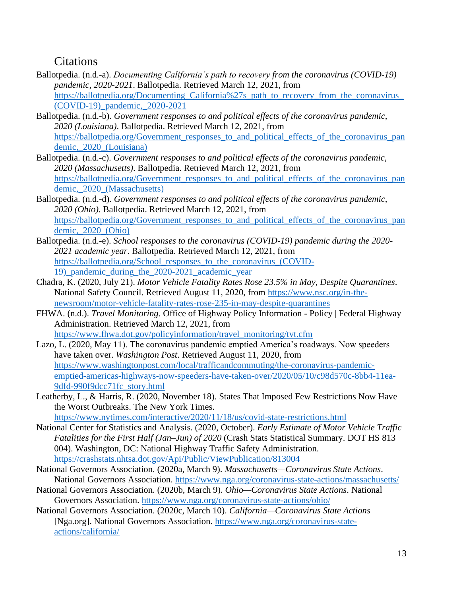### **Citations**

- Ballotpedia. (n.d.-a). *Documenting California's path to recovery from the coronavirus (COVID-19) pandemic, 2020-2021*. Ballotpedia. Retrieved March 12, 2021, from [https://ballotpedia.org/Documenting\\_California%27s\\_path\\_to\\_recovery\\_from\\_the\\_coronavirus\\_](https://ballotpedia.org/Documenting_California%27s_path_to_recovery_from_the_coronavirus_(COVID-19)_pandemic,_2020-2021) [\(COVID-19\)\\_pandemic,\\_2020-2021](https://ballotpedia.org/Documenting_California%27s_path_to_recovery_from_the_coronavirus_(COVID-19)_pandemic,_2020-2021)
- Ballotpedia. (n.d.-b). *Government responses to and political effects of the coronavirus pandemic, 2020 (Louisiana)*. Ballotpedia. Retrieved March 12, 2021, from [https://ballotpedia.org/Government\\_responses\\_to\\_and\\_political\\_effects\\_of\\_the\\_coronavirus\\_pan](https://ballotpedia.org/Government_responses_to_and_political_effects_of_the_coronavirus_pandemic,_2020_(Louisiana)) [demic,\\_2020\\_\(Louisiana\)](https://ballotpedia.org/Government_responses_to_and_political_effects_of_the_coronavirus_pandemic,_2020_(Louisiana))
- Ballotpedia. (n.d.-c). *Government responses to and political effects of the coronavirus pandemic, 2020 (Massachusetts)*. Ballotpedia. Retrieved March 12, 2021, from https://ballotpedia.org/Government responses to and political effects of the coronavirus pan [demic,\\_2020\\_\(Massachusetts\)](https://ballotpedia.org/Government_responses_to_and_political_effects_of_the_coronavirus_pandemic,_2020_(Massachusetts))
- Ballotpedia. (n.d.-d). *Government responses to and political effects of the coronavirus pandemic, 2020 (Ohio)*. Ballotpedia. Retrieved March 12, 2021, from https://ballotpedia.org/Government responses to and political effects of the coronavirus pan [demic,\\_2020\\_\(Ohio\)](https://ballotpedia.org/Government_responses_to_and_political_effects_of_the_coronavirus_pandemic,_2020_(Ohio))
- Ballotpedia. (n.d.-e). *School responses to the coronavirus (COVID-19) pandemic during the 2020- 2021 academic year*. Ballotpedia. Retrieved March 12, 2021, from [https://ballotpedia.org/School\\_responses\\_to\\_the\\_coronavirus\\_\(COVID-](https://ballotpedia.org/School_responses_to_the_coronavirus_(COVID-19)_pandemic_during_the_2020-2021_academic_year)[19\)\\_pandemic\\_during\\_the\\_2020-2021\\_academic\\_year](https://ballotpedia.org/School_responses_to_the_coronavirus_(COVID-19)_pandemic_during_the_2020-2021_academic_year)
- Chadra, K. (2020, July 21). *Motor Vehicle Fatality Rates Rose 23.5% in May, Despite Quarantines*. National Safety Council. Retrieved August 11, 2020, from [https://www.nsc.org/in-the](https://www.nsc.org/in-the-newsroom/motor-vehicle-fatality-rates-rose-235-in-may-despite-quarantines)[newsroom/motor-vehicle-fatality-rates-rose-235-in-may-despite-quarantines](https://www.nsc.org/in-the-newsroom/motor-vehicle-fatality-rates-rose-235-in-may-despite-quarantines)
- FHWA. (n.d.). *Travel Monitoring*. Office of Highway Policy Information Policy | Federal Highway Administration. Retrieved March 12, 2021, from [https://www.fhwa.dot.gov/policyinformation/travel\\_monitoring/tvt.cfm](https://www.fhwa.dot.gov/policyinformation/travel_monitoring/tvt.cfm)
- Lazo, L. (2020, May 11). The coronavirus pandemic emptied America's roadways. Now speeders have taken over. *Washington Post*. Retrieved August 11, 2020, from [https://www.washingtonpost.com/local/trafficandcommuting/the-coronavirus-pandemic](https://www.washingtonpost.com/local/trafficandcommuting/the-coronavirus-pandemic-emptied-americas-highways-now-speeders-have-taken-over/2020/05/10/c98d570c-8bb4-11ea-9dfd-990f9dcc71fc_story.html)[emptied-americas-highways-now-speeders-have-taken-over/2020/05/10/c98d570c-8bb4-11ea-](https://www.washingtonpost.com/local/trafficandcommuting/the-coronavirus-pandemic-emptied-americas-highways-now-speeders-have-taken-over/2020/05/10/c98d570c-8bb4-11ea-9dfd-990f9dcc71fc_story.html)[9dfd-990f9dcc71fc\\_story.html](https://www.washingtonpost.com/local/trafficandcommuting/the-coronavirus-pandemic-emptied-americas-highways-now-speeders-have-taken-over/2020/05/10/c98d570c-8bb4-11ea-9dfd-990f9dcc71fc_story.html)
- Leatherby, L., & Harris, R. (2020, November 18). States That Imposed Few Restrictions Now Have the Worst Outbreaks. The New York Times. <https://www.nytimes.com/interactive/2020/11/18/us/covid-state-restrictions.html>

National Center for Statistics and Analysis. (2020, October). *Early Estimate of Motor Vehicle Traffic Fatalities for the First Half (Jan–Jun) of 2020* (Crash Stats Statistical Summary. DOT HS 813 004). Washington, DC: National Highway Traffic Safety Administration. <https://crashstats.nhtsa.dot.gov/Api/Public/ViewPublication/813004>

- National Governors Association. (2020a, March 9). *Massachusetts—Coronavirus State Actions*. National Governors Association.<https://www.nga.org/coronavirus-state-actions/massachusetts/>
- National Governors Association. (2020b, March 9). *Ohio—Coronavirus State Actions*. National Governors Association.<https://www.nga.org/coronavirus-state-actions/ohio/>
- National Governors Association. (2020c, March 10). *California—Coronavirus State Actions* [Nga.org]. National Governors Association. [https://www.nga.org/coronavirus-state](https://www.nga.org/coronavirus-state-actions/california/)[actions/california/](https://www.nga.org/coronavirus-state-actions/california/)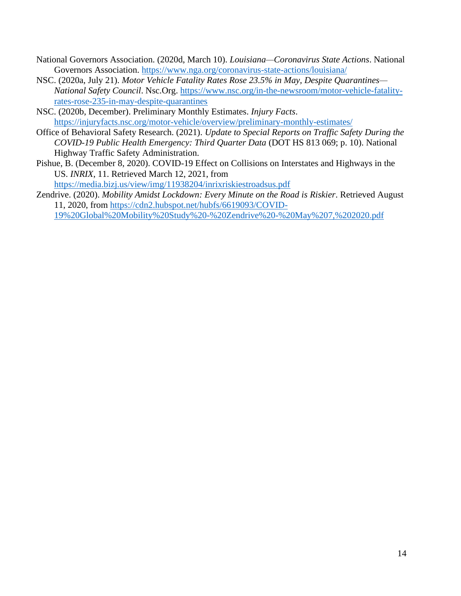- National Governors Association. (2020d, March 10). *Louisiana—Coronavirus State Actions*. National Governors Association.<https://www.nga.org/coronavirus-state-actions/louisiana/>
- NSC. (2020a, July 21). *Motor Vehicle Fatality Rates Rose 23.5% in May, Despite Quarantines— National Safety Council*. Nsc.Org. [https://www.nsc.org/in-the-newsroom/motor-vehicle-fatality](https://www.nsc.org/in-the-newsroom/motor-vehicle-fatality-rates-rose-235-in-may-despite-quarantines)[rates-rose-235-in-may-despite-quarantines](https://www.nsc.org/in-the-newsroom/motor-vehicle-fatality-rates-rose-235-in-may-despite-quarantines)
- NSC. (2020b, December). Preliminary Monthly Estimates. *Injury Facts*. <https://injuryfacts.nsc.org/motor-vehicle/overview/preliminary-monthly-estimates/>
- Office of Behavioral Safety Research. (2021). *Update to Special Reports on Traffic Safety During the COVID-19 Public Health Emergency: Third Quarter Data* (DOT HS 813 069; p. 10). National Highway Traffic Safety Administration.
- Pishue, B. (December 8, 2020). COVID-19 Effect on Collisions on Interstates and Highways in the US. *INRIX*, 11. Retrieved March 12, 2021, from <https://media.bizj.us/view/img/11938204/inrixriskiestroadsus.pdf>
- Zendrive. (2020). *Mobility Amidst Lockdown: Every Minute on the Road is Riskier*. Retrieved August 11, 2020, from [https://cdn2.hubspot.net/hubfs/6619093/COVID-](https://cdn2.hubspot.net/hubfs/6619093/COVID-19%20Global%20Mobility%20Study%20-%20Zendrive%20-%20May%207,%202020.pdf)[19%20Global%20Mobility%20Study%20-%20Zendrive%20-%20May%207,%202020.pdf](https://cdn2.hubspot.net/hubfs/6619093/COVID-19%20Global%20Mobility%20Study%20-%20Zendrive%20-%20May%207,%202020.pdf)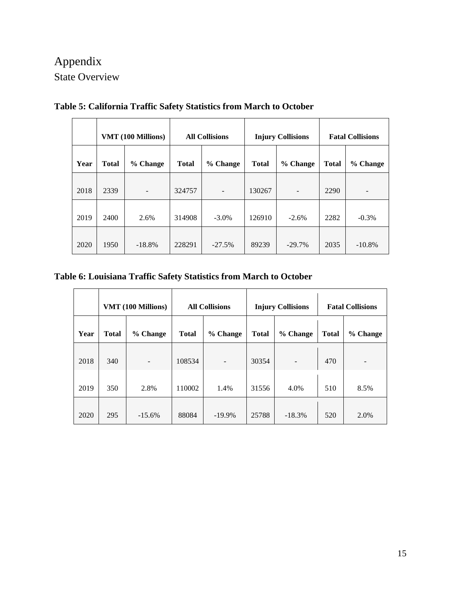# Appendix State Overview

|      | VMT (100 Millions) |                          | <b>All Collisions</b> |          |              | <b>Injury Collisions</b> | <b>Fatal Collisions</b> |           |
|------|--------------------|--------------------------|-----------------------|----------|--------------|--------------------------|-------------------------|-----------|
| Year | <b>Total</b>       | % Change                 | <b>Total</b>          | % Change | <b>Total</b> | % Change                 | <b>Total</b>            | % Change  |
| 2018 | 2339               | $\overline{\phantom{a}}$ | 324757                | ۰        | 130267       | $\overline{\phantom{a}}$ | 2290                    |           |
| 2019 | 2400               | 2.6%                     | 314908                | $-3.0\%$ | 126910       | $-2.6%$                  | 2282                    | $-0.3%$   |
| 2020 | 1950               | $-18.8%$                 | 228291                | $-27.5%$ | 89239        | $-29.7%$                 | 2035                    | $-10.8\%$ |

**Table 5: California Traffic Safety Statistics from March to October**

### **Table 6: Louisiana Traffic Safety Statistics from March to October**

|      | VMT (100 Millions) |          | <b>All Collisions</b> |           |              | <b>Injury Collisions</b> | <b>Fatal Collisions</b> |          |
|------|--------------------|----------|-----------------------|-----------|--------------|--------------------------|-------------------------|----------|
| Year | <b>Total</b>       | % Change | <b>Total</b>          | % Change  | <b>Total</b> | % Change                 | <b>Total</b>            | % Change |
| 2018 | 340                |          | 108534                |           | 30354        |                          | 470                     |          |
| 2019 | 350                | 2.8%     | 110002                | 1.4%      | 31556        | 4.0%                     | 510                     | 8.5%     |
| 2020 | 295                | $-15.6%$ | 88084                 | $-19.9\%$ | 25788        | $-18.3%$                 | 520                     | 2.0%     |